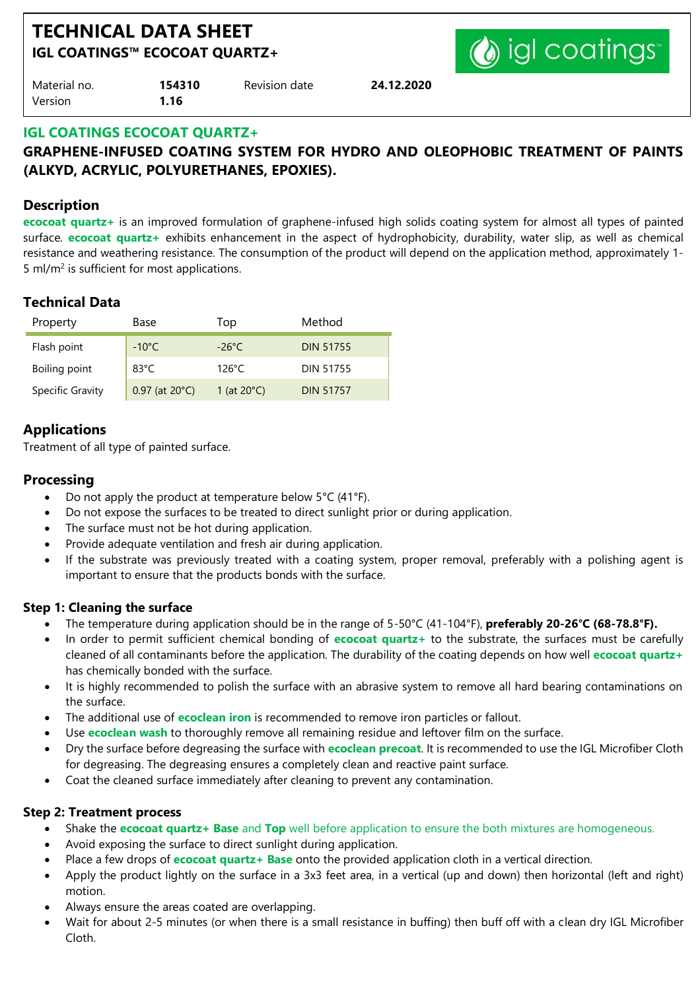# **TECHNICAL DATA SHEET IGL COATINGS™ ECOCOAT QUARTZ+**



| Material no. | 154310 | Revision date | 24.12.2020 |
|--------------|--------|---------------|------------|
| Version      | 1.16   |               |            |

#### **IGL COATINGS ECOCOAT QUARTZ+**

# **GRAPHENE-INFUSED COATING SYSTEM FOR HYDRO AND OLEOPHOBIC TREATMENT OF PAINTS (ALKYD, ACRYLIC, POLYURETHANES, EPOXIES).**

#### **Description**

**ecocoat quartz+** is an improved formulation of graphene-infused high solids coating system for almost all types of painted surface. **ecocoat quartz+** exhibits enhancement in the aspect of hydrophobicity, durability, water slip, as well as chemical resistance and weathering resistance. The consumption of the product will depend on the application method, approximately 1- 5 ml/ $m<sup>2</sup>$  is sufficient for most applications.

# **Technical Data**

| Property         | Base                       | Top                   | Method           |
|------------------|----------------------------|-----------------------|------------------|
| Flash point      | $-10^{\circ}$ C            | $-26^{\circ}$ C       | <b>DIN 51755</b> |
| Boiling point    | 83 $^{\circ}$ C            | $126^{\circ}$ C       | <b>DIN 51755</b> |
| Specific Gravity | $0.97$ (at $20^{\circ}$ C) | 1 (at $20^{\circ}$ C) | <b>DIN 51757</b> |

# **Applications**

Treatment of all type of painted surface.

#### **Processing**

- Do not apply the product at temperature below 5°C (41°F).
- Do not expose the surfaces to be treated to direct sunlight prior or during application.
- The surface must not be hot during application.
- Provide adequate ventilation and fresh air during application.
- If the substrate was previously treated with a coating system, proper removal, preferably with a polishing agent is important to ensure that the products bonds with the surface.

#### **Step 1: Cleaning the surface**

- The temperature during application should be in the range of 5-50°C (41-104°F), **preferably 20-26°C (68-78.8°F).**
- In order to permit sufficient chemical bonding of **ecocoat quartz+** to the substrate, the surfaces must be carefully cleaned of all contaminants before the application. The durability of the coating depends on how well **ecocoat quartz+** has chemically bonded with the surface.
- It is highly recommended to polish the surface with an abrasive system to remove all hard bearing contaminations on the surface.
- The additional use of **ecoclean iron** is recommended to remove iron particles or fallout.
- Use **ecoclean wash** to thoroughly remove all remaining residue and leftover film on the surface.
- Dry the surface before degreasing the surface with **ecoclean precoat**. It is recommended to use the IGL Microfiber Cloth for degreasing. The degreasing ensures a completely clean and reactive paint surface.
- Coat the cleaned surface immediately after cleaning to prevent any contamination.

#### **Step 2: Treatment process**

- Shake the **ecocoat quartz+ Base** and **Top** well before application to ensure the both mixtures are homogeneous.
- Avoid exposing the surface to direct sunlight during application.
- Place a few drops of **ecocoat quartz+ Base** onto the provided application cloth in a vertical direction.
- Apply the product lightly on the surface in a 3x3 feet area, in a vertical (up and down) then horizontal (left and right) motion.
- Always ensure the areas coated are overlapping.
- Wait for about 2-5 minutes (or when there is a small resistance in buffing) then buff off with a clean dry IGL Microfiber Cloth.